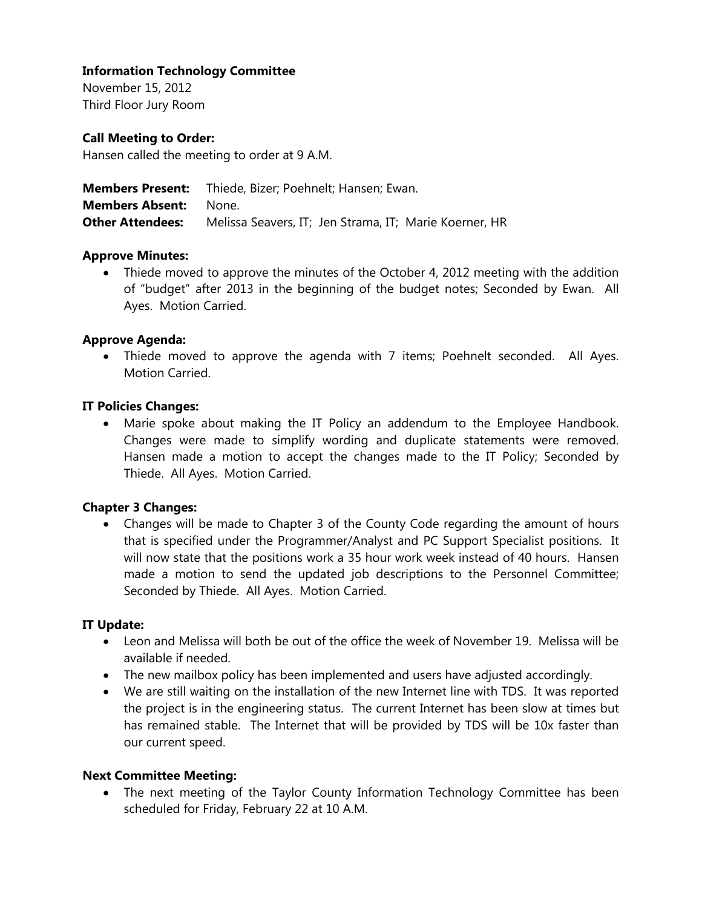# **Information Technology Committee**

November 15, 2012 Third Floor Jury Room

## **Call Meeting to Order:**

Hansen called the meeting to order at 9 A.M.

|                              | <b>Members Present:</b> Thiede, Bizer; Poehnelt; Hansen; Ewan. |
|------------------------------|----------------------------------------------------------------|
| <b>Members Absent:</b> None. |                                                                |
| <b>Other Attendees:</b>      | Melissa Seavers, IT; Jen Strama, IT; Marie Koerner, HR         |

### **Approve Minutes:**

• Thiede moved to approve the minutes of the October 4, 2012 meeting with the addition of "budget" after 2013 in the beginning of the budget notes; Seconded by Ewan. All Ayes. Motion Carried.

### **Approve Agenda:**

 Thiede moved to approve the agenda with 7 items; Poehnelt seconded. All Ayes. Motion Carried.

# **IT Policies Changes:**

 Marie spoke about making the IT Policy an addendum to the Employee Handbook. Changes were made to simplify wording and duplicate statements were removed. Hansen made a motion to accept the changes made to the IT Policy; Seconded by Thiede. All Ayes. Motion Carried.

# **Chapter 3 Changes:**

 Changes will be made to Chapter 3 of the County Code regarding the amount of hours that is specified under the Programmer/Analyst and PC Support Specialist positions. It will now state that the positions work a 35 hour work week instead of 40 hours. Hansen made a motion to send the updated job descriptions to the Personnel Committee; Seconded by Thiede. All Ayes. Motion Carried.

### **IT Update:**

- Leon and Melissa will both be out of the office the week of November 19. Melissa will be available if needed.
- The new mailbox policy has been implemented and users have adjusted accordingly.
- We are still waiting on the installation of the new Internet line with TDS. It was reported the project is in the engineering status. The current Internet has been slow at times but has remained stable. The Internet that will be provided by TDS will be 10x faster than our current speed.

### **Next Committee Meeting:**

 The next meeting of the Taylor County Information Technology Committee has been scheduled for Friday, February 22 at 10 A.M.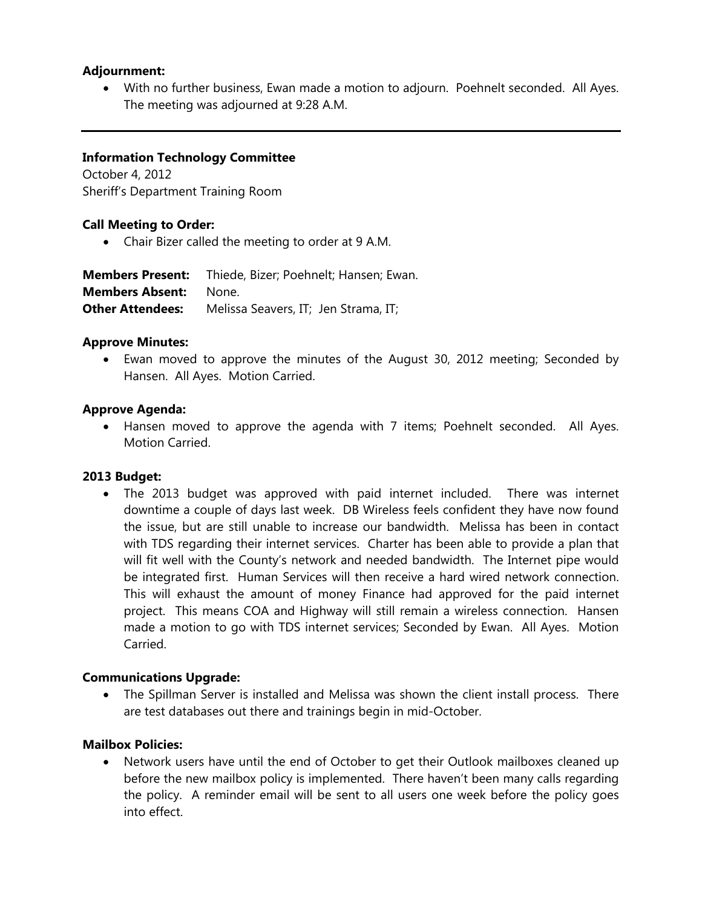# **Adjournment:**

 With no further business, Ewan made a motion to adjourn. Poehnelt seconded. All Ayes. The meeting was adjourned at 9:28 A.M.

## **Information Technology Committee**

October 4, 2012 Sheriff's Department Training Room

### **Call Meeting to Order:**

Chair Bizer called the meeting to order at 9 A.M.

| <b>Members Present:</b> | Thiede, Bizer; Poehnelt; Hansen; Ewan. |
|-------------------------|----------------------------------------|
| <b>Members Absent:</b>  | None.                                  |
| <b>Other Attendees:</b> | Melissa Seavers, IT; Jen Strama, IT;   |

#### **Approve Minutes:**

 Ewan moved to approve the minutes of the August 30, 2012 meeting; Seconded by Hansen. All Ayes. Motion Carried.

### **Approve Agenda:**

 Hansen moved to approve the agenda with 7 items; Poehnelt seconded. All Ayes. Motion Carried.

#### **2013 Budget:**

 The 2013 budget was approved with paid internet included. There was internet downtime a couple of days last week. DB Wireless feels confident they have now found the issue, but are still unable to increase our bandwidth. Melissa has been in contact with TDS regarding their internet services. Charter has been able to provide a plan that will fit well with the County's network and needed bandwidth. The Internet pipe would be integrated first. Human Services will then receive a hard wired network connection. This will exhaust the amount of money Finance had approved for the paid internet project. This means COA and Highway will still remain a wireless connection. Hansen made a motion to go with TDS internet services; Seconded by Ewan. All Ayes. Motion Carried.

### **Communications Upgrade:**

 The Spillman Server is installed and Melissa was shown the client install process. There are test databases out there and trainings begin in mid-October.

### **Mailbox Policies:**

 Network users have until the end of October to get their Outlook mailboxes cleaned up before the new mailbox policy is implemented. There haven't been many calls regarding the policy. A reminder email will be sent to all users one week before the policy goes into effect.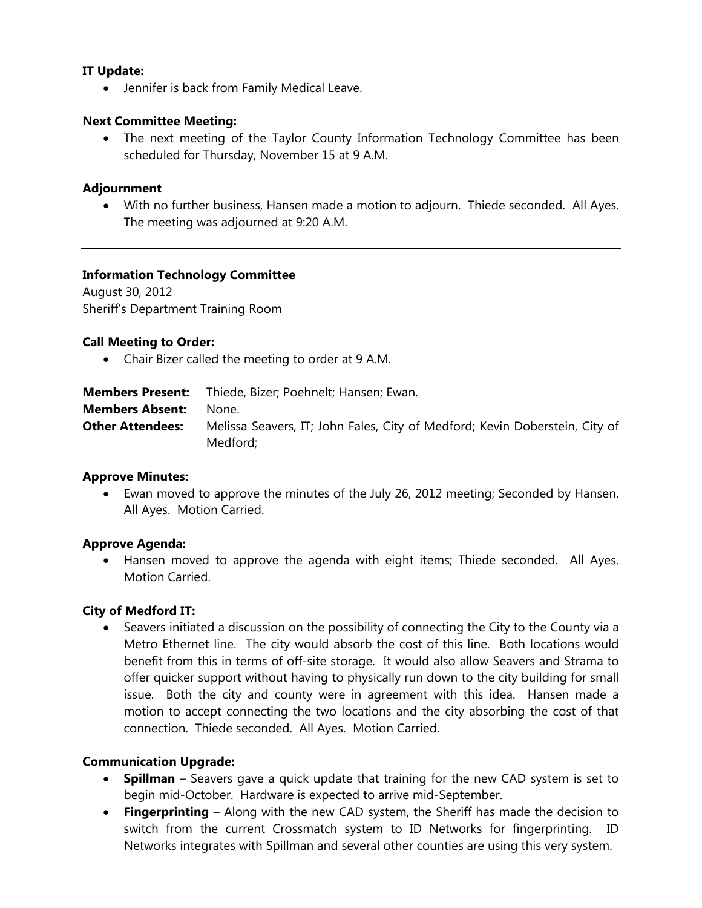# **IT Update:**

Jennifer is back from Family Medical Leave.

## **Next Committee Meeting:**

 The next meeting of the Taylor County Information Technology Committee has been scheduled for Thursday, November 15 at 9 A.M.

### **Adjournment**

 With no further business, Hansen made a motion to adjourn. Thiede seconded. All Ayes. The meeting was adjourned at 9:20 A.M.

### **Information Technology Committee**

August 30, 2012 Sheriff's Department Training Room

### **Call Meeting to Order:**

Chair Bizer called the meeting to order at 9 A.M.

| <b>Members Present:</b> | Thiede, Bizer; Poehnelt; Hansen; Ewan.                                                  |
|-------------------------|-----------------------------------------------------------------------------------------|
| <b>Members Absent:</b>  | None.                                                                                   |
| <b>Other Attendees:</b> | Melissa Seavers, IT; John Fales, City of Medford; Kevin Doberstein, City of<br>Medford; |

### **Approve Minutes:**

 Ewan moved to approve the minutes of the July 26, 2012 meeting; Seconded by Hansen. All Ayes. Motion Carried.

### **Approve Agenda:**

 Hansen moved to approve the agenda with eight items; Thiede seconded. All Ayes. Motion Carried.

### **City of Medford IT:**

 Seavers initiated a discussion on the possibility of connecting the City to the County via a Metro Ethernet line. The city would absorb the cost of this line. Both locations would benefit from this in terms of off-site storage. It would also allow Seavers and Strama to offer quicker support without having to physically run down to the city building for small issue. Both the city and county were in agreement with this idea. Hansen made a motion to accept connecting the two locations and the city absorbing the cost of that connection. Thiede seconded. All Ayes. Motion Carried.

### **Communication Upgrade:**

- **Spillman** Seavers gave a quick update that training for the new CAD system is set to begin mid-October. Hardware is expected to arrive mid-September.
- **Fingerprinting** Along with the new CAD system, the Sheriff has made the decision to switch from the current Crossmatch system to ID Networks for fingerprinting. ID Networks integrates with Spillman and several other counties are using this very system.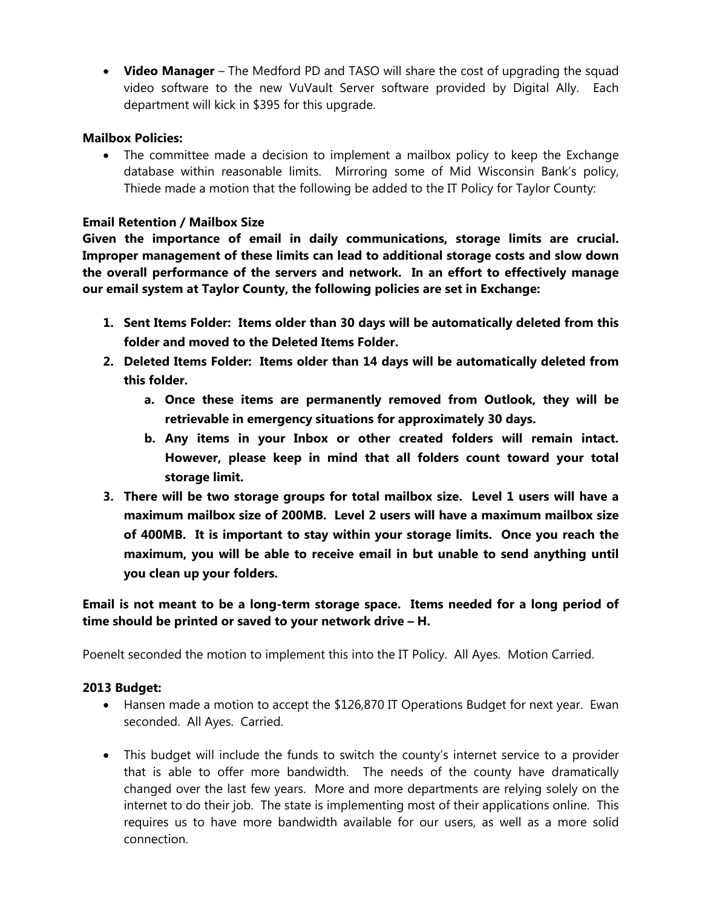**Video Manager** – The Medford PD and TASO will share the cost of upgrading the squad video software to the new VuVault Server software provided by Digital Ally. Each department will kick in \$395 for this upgrade.

# **Mailbox Policies:**

 The committee made a decision to implement a mailbox policy to keep the Exchange database within reasonable limits. Mirroring some of Mid Wisconsin Bank's policy, Thiede made a motion that the following be added to the IT Policy for Taylor County:

## **Email Retention / Mailbox Size**

**Given the importance of email in daily communications, storage limits are crucial. Improper management of these limits can lead to additional storage costs and slow down the overall performance of the servers and network. In an effort to effectively manage our email system at Taylor County, the following policies are set in Exchange:** 

- **1. Sent Items Folder: Items older than 30 days will be automatically deleted from this folder and moved to the Deleted Items Folder.**
- **2. Deleted Items Folder: Items older than 14 days will be automatically deleted from this folder.** 
	- **a. Once these items are permanently removed from Outlook, they will be retrievable in emergency situations for approximately 30 days.**
	- **b. Any items in your Inbox or other created folders will remain intact. However, please keep in mind that all folders count toward your total storage limit.**
- **3. There will be two storage groups for total mailbox size. Level 1 users will have a maximum mailbox size of 200MB. Level 2 users will have a maximum mailbox size of 400MB. It is important to stay within your storage limits. Once you reach the maximum, you will be able to receive email in but unable to send anything until you clean up your folders.**

# **Email is not meant to be a long-term storage space. Items needed for a long period of time should be printed or saved to your network drive – H.**

Poenelt seconded the motion to implement this into the IT Policy. All Ayes. Motion Carried.

# **2013 Budget:**

- Hansen made a motion to accept the \$126,870 IT Operations Budget for next year. Ewan seconded. All Ayes. Carried.
- This budget will include the funds to switch the county's internet service to a provider that is able to offer more bandwidth. The needs of the county have dramatically changed over the last few years. More and more departments are relying solely on the internet to do their job. The state is implementing most of their applications online. This requires us to have more bandwidth available for our users, as well as a more solid connection.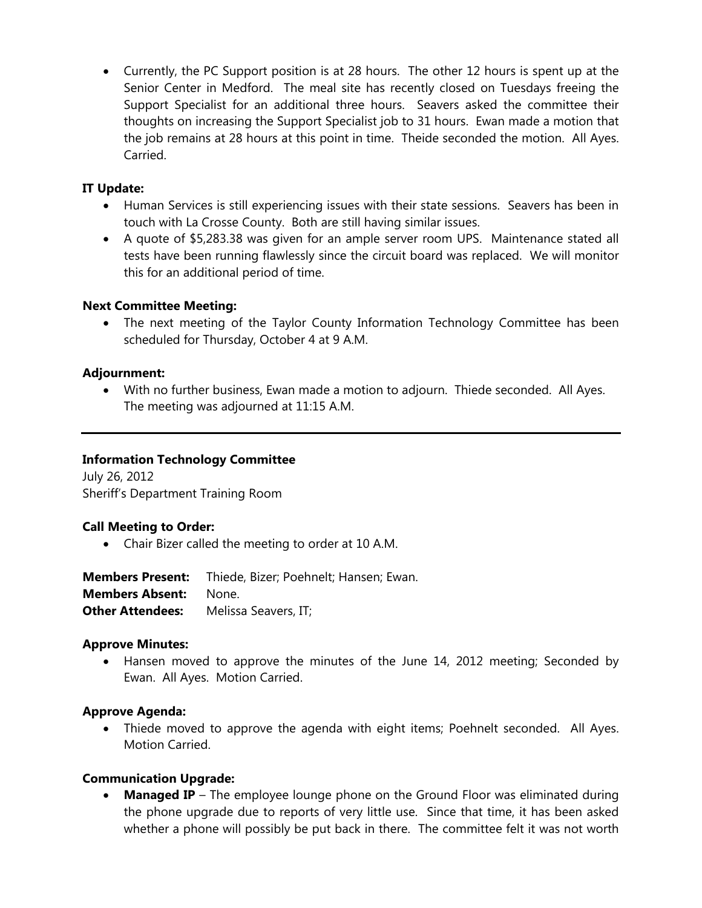Currently, the PC Support position is at 28 hours. The other 12 hours is spent up at the Senior Center in Medford. The meal site has recently closed on Tuesdays freeing the Support Specialist for an additional three hours. Seavers asked the committee their thoughts on increasing the Support Specialist job to 31 hours. Ewan made a motion that the job remains at 28 hours at this point in time. Theide seconded the motion. All Ayes. **Carried** 

# **IT Update:**

- Human Services is still experiencing issues with their state sessions. Seavers has been in touch with La Crosse County. Both are still having similar issues.
- A quote of \$5,283.38 was given for an ample server room UPS. Maintenance stated all tests have been running flawlessly since the circuit board was replaced. We will monitor this for an additional period of time.

### **Next Committee Meeting:**

 The next meeting of the Taylor County Information Technology Committee has been scheduled for Thursday, October 4 at 9 A.M.

# **Adjournment:**

 With no further business, Ewan made a motion to adjourn. Thiede seconded. All Ayes. The meeting was adjourned at 11:15 A.M.

## **Information Technology Committee**

July 26, 2012 Sheriff's Department Training Room

### **Call Meeting to Order:**

Chair Bizer called the meeting to order at 10 A.M.

**Members Present:** Thiede, Bizer; Poehnelt; Hansen; Ewan. **Members Absent:** None. **Other Attendees:** Melissa Seavers, IT;

### **Approve Minutes:**

 Hansen moved to approve the minutes of the June 14, 2012 meeting; Seconded by Ewan. All Ayes. Motion Carried.

### **Approve Agenda:**

• Thiede moved to approve the agenda with eight items; Poehnelt seconded. All Ayes. Motion Carried.

### **Communication Upgrade:**

**Managed IP** – The employee lounge phone on the Ground Floor was eliminated during the phone upgrade due to reports of very little use. Since that time, it has been asked whether a phone will possibly be put back in there. The committee felt it was not worth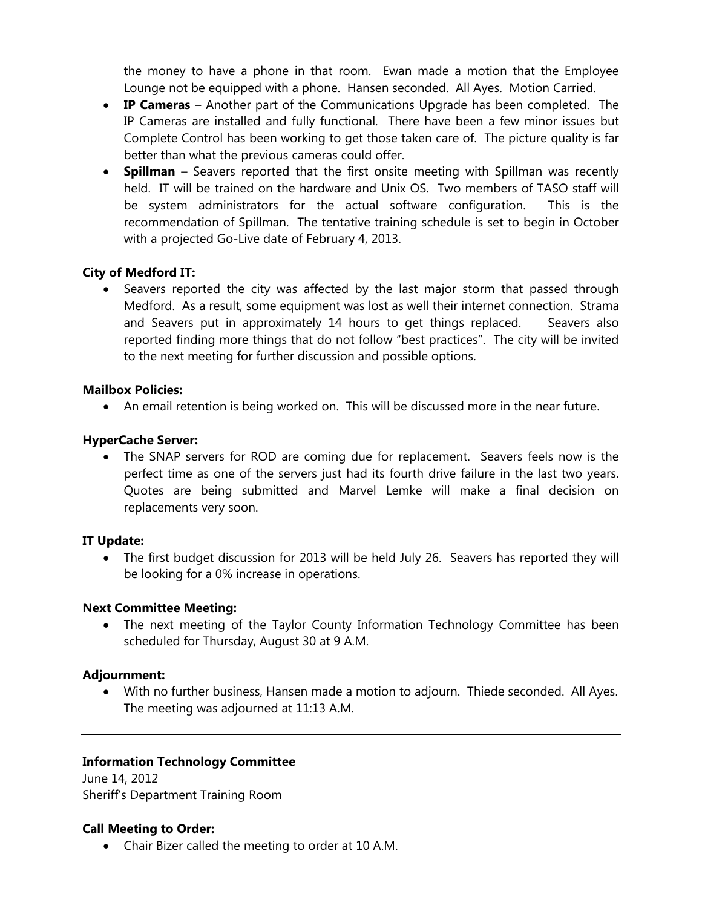the money to have a phone in that room. Ewan made a motion that the Employee Lounge not be equipped with a phone. Hansen seconded. All Ayes. Motion Carried.

- **IP Cameras** Another part of the Communications Upgrade has been completed. The IP Cameras are installed and fully functional. There have been a few minor issues but Complete Control has been working to get those taken care of. The picture quality is far better than what the previous cameras could offer.
- **Spillman** Seavers reported that the first onsite meeting with Spillman was recently held. IT will be trained on the hardware and Unix OS. Two members of TASO staff will be system administrators for the actual software configuration. This is the recommendation of Spillman. The tentative training schedule is set to begin in October with a projected Go-Live date of February 4, 2013.

# **City of Medford IT:**

• Seavers reported the city was affected by the last major storm that passed through Medford. As a result, some equipment was lost as well their internet connection. Strama and Seavers put in approximately 14 hours to get things replaced. Seavers also reported finding more things that do not follow "best practices". The city will be invited to the next meeting for further discussion and possible options.

### **Mailbox Policies:**

An email retention is being worked on. This will be discussed more in the near future.

#### **HyperCache Server:**

 The SNAP servers for ROD are coming due for replacement. Seavers feels now is the perfect time as one of the servers just had its fourth drive failure in the last two years. Quotes are being submitted and Marvel Lemke will make a final decision on replacements very soon.

### **IT Update:**

 The first budget discussion for 2013 will be held July 26. Seavers has reported they will be looking for a 0% increase in operations.

#### **Next Committee Meeting:**

 The next meeting of the Taylor County Information Technology Committee has been scheduled for Thursday, August 30 at 9 A.M.

### **Adjournment:**

 With no further business, Hansen made a motion to adjourn. Thiede seconded. All Ayes. The meeting was adjourned at 11:13 A.M.

### **Information Technology Committee**

June 14, 2012 Sheriff's Department Training Room

### **Call Meeting to Order:**

Chair Bizer called the meeting to order at 10 A.M.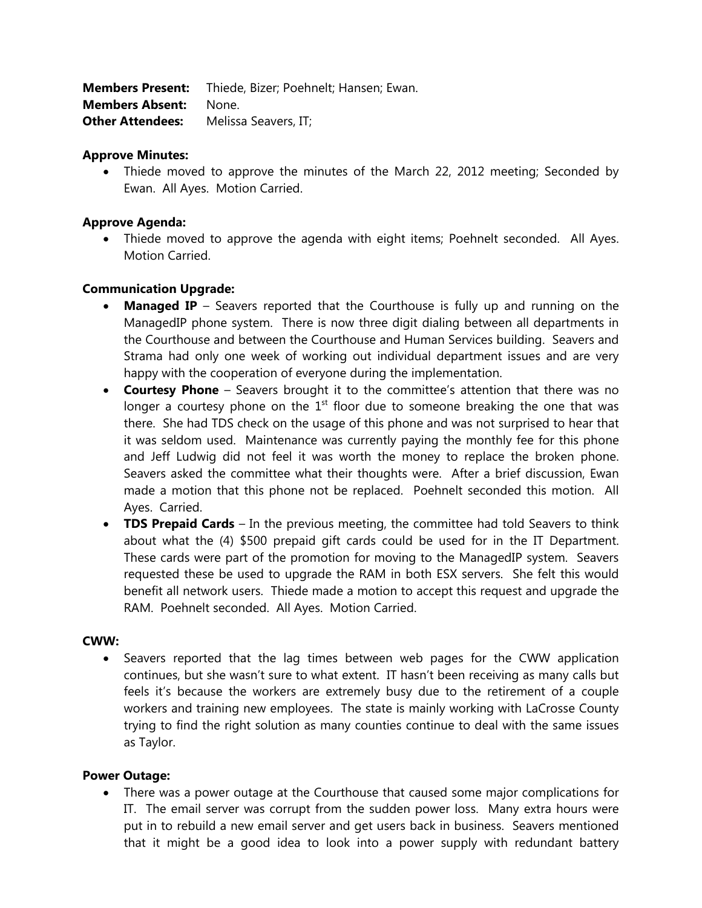| <b>Members Present:</b> | Thiede, Bizer; Poehnelt; Hansen; Ewan. |
|-------------------------|----------------------------------------|
| <b>Members Absent:</b>  | None.                                  |
| <b>Other Attendees:</b> | Melissa Seavers, IT;                   |

#### **Approve Minutes:**

 Thiede moved to approve the minutes of the March 22, 2012 meeting; Seconded by Ewan. All Ayes. Motion Carried.

### **Approve Agenda:**

 Thiede moved to approve the agenda with eight items; Poehnelt seconded. All Ayes. Motion Carried.

### **Communication Upgrade:**

- **Managed IP** Seavers reported that the Courthouse is fully up and running on the ManagedIP phone system. There is now three digit dialing between all departments in the Courthouse and between the Courthouse and Human Services building. Seavers and Strama had only one week of working out individual department issues and are very happy with the cooperation of everyone during the implementation.
- **Courtesy Phone** Seavers brought it to the committee's attention that there was no longer a courtesy phone on the  $1<sup>st</sup>$  floor due to someone breaking the one that was there. She had TDS check on the usage of this phone and was not surprised to hear that it was seldom used. Maintenance was currently paying the monthly fee for this phone and Jeff Ludwig did not feel it was worth the money to replace the broken phone. Seavers asked the committee what their thoughts were. After a brief discussion, Ewan made a motion that this phone not be replaced. Poehnelt seconded this motion. All Ayes. Carried.
- **TDS Prepaid Cards** In the previous meeting, the committee had told Seavers to think about what the (4) \$500 prepaid gift cards could be used for in the IT Department. These cards were part of the promotion for moving to the ManagedIP system. Seavers requested these be used to upgrade the RAM in both ESX servers. She felt this would benefit all network users. Thiede made a motion to accept this request and upgrade the RAM. Poehnelt seconded. All Ayes. Motion Carried.

#### **CWW:**

• Seavers reported that the lag times between web pages for the CWW application continues, but she wasn't sure to what extent. IT hasn't been receiving as many calls but feels it's because the workers are extremely busy due to the retirement of a couple workers and training new employees. The state is mainly working with LaCrosse County trying to find the right solution as many counties continue to deal with the same issues as Taylor.

#### **Power Outage:**

 There was a power outage at the Courthouse that caused some major complications for IT. The email server was corrupt from the sudden power loss. Many extra hours were put in to rebuild a new email server and get users back in business. Seavers mentioned that it might be a good idea to look into a power supply with redundant battery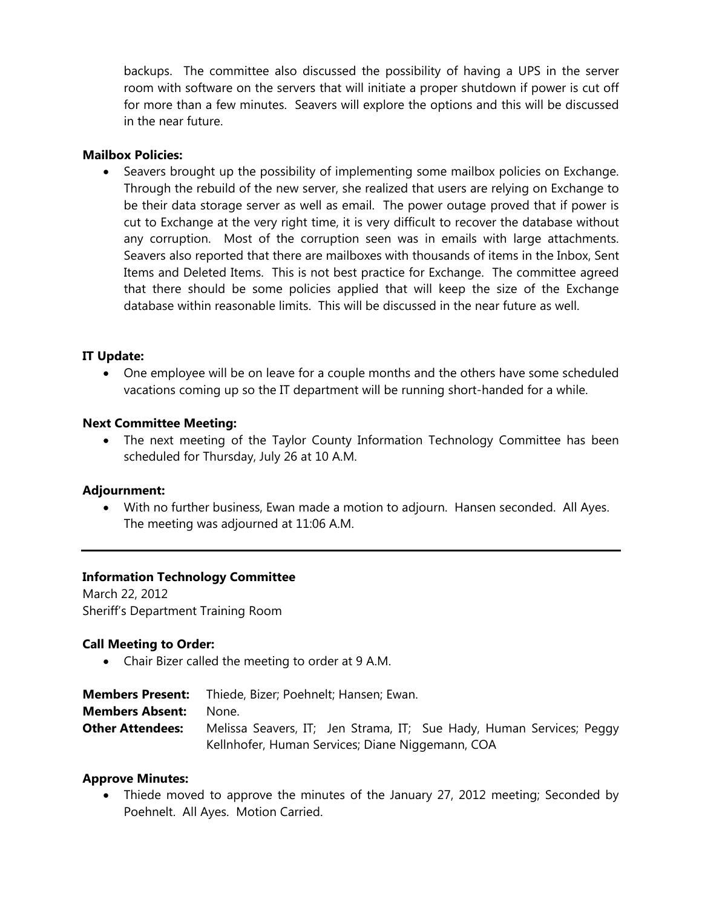backups. The committee also discussed the possibility of having a UPS in the server room with software on the servers that will initiate a proper shutdown if power is cut off for more than a few minutes. Seavers will explore the options and this will be discussed in the near future.

### **Mailbox Policies:**

 Seavers brought up the possibility of implementing some mailbox policies on Exchange. Through the rebuild of the new server, she realized that users are relying on Exchange to be their data storage server as well as email. The power outage proved that if power is cut to Exchange at the very right time, it is very difficult to recover the database without any corruption. Most of the corruption seen was in emails with large attachments. Seavers also reported that there are mailboxes with thousands of items in the Inbox, Sent Items and Deleted Items. This is not best practice for Exchange. The committee agreed that there should be some policies applied that will keep the size of the Exchange database within reasonable limits. This will be discussed in the near future as well.

# **IT Update:**

 One employee will be on leave for a couple months and the others have some scheduled vacations coming up so the IT department will be running short-handed for a while.

# **Next Committee Meeting:**

 The next meeting of the Taylor County Information Technology Committee has been scheduled for Thursday, July 26 at 10 A.M.

### **Adjournment:**

 With no further business, Ewan made a motion to adjourn. Hansen seconded. All Ayes. The meeting was adjourned at 11:06 A.M.

### **Information Technology Committee**

March 22, 2012 Sheriff's Department Training Room

### **Call Meeting to Order:**

Chair Bizer called the meeting to order at 9 A.M.

| <b>Members Present:</b> | Thiede, Bizer; Poehnelt; Hansen; Ewan.                               |
|-------------------------|----------------------------------------------------------------------|
| <b>Members Absent:</b>  | None.                                                                |
| <b>Other Attendees:</b> | Melissa Seavers, IT; Jen Strama, IT; Sue Hady, Human Services; Peggy |
|                         | Kellnhofer, Human Services; Diane Niggemann, COA                     |

### **Approve Minutes:**

 Thiede moved to approve the minutes of the January 27, 2012 meeting; Seconded by Poehnelt. All Ayes. Motion Carried.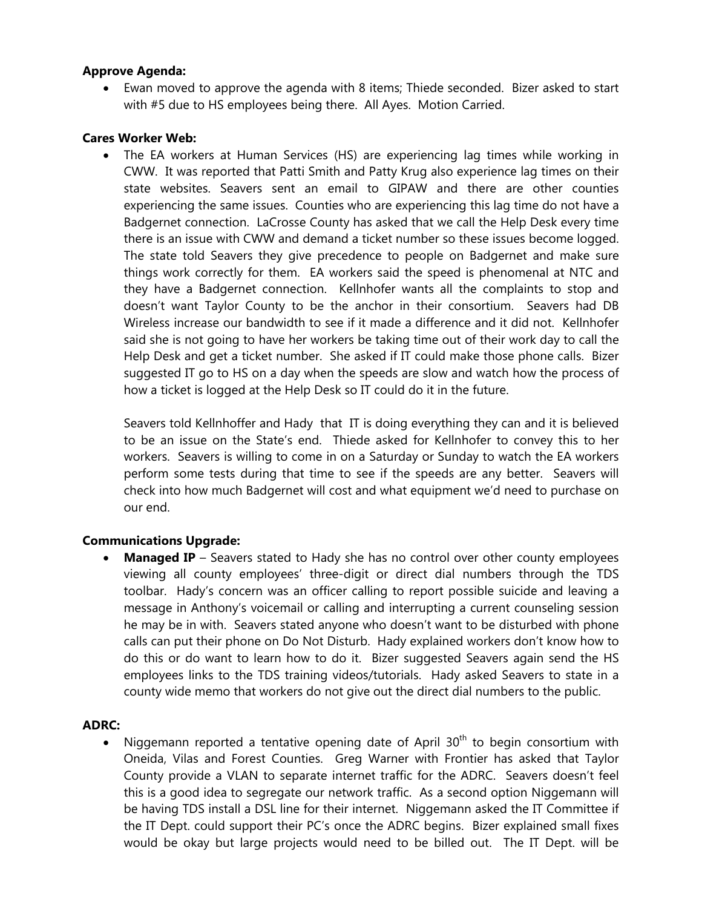# **Approve Agenda:**

 Ewan moved to approve the agenda with 8 items; Thiede seconded. Bizer asked to start with #5 due to HS employees being there. All Ayes. Motion Carried.

## **Cares Worker Web:**

 The EA workers at Human Services (HS) are experiencing lag times while working in CWW. It was reported that Patti Smith and Patty Krug also experience lag times on their state websites. Seavers sent an email to GIPAW and there are other counties experiencing the same issues. Counties who are experiencing this lag time do not have a Badgernet connection. LaCrosse County has asked that we call the Help Desk every time there is an issue with CWW and demand a ticket number so these issues become logged. The state told Seavers they give precedence to people on Badgernet and make sure things work correctly for them. EA workers said the speed is phenomenal at NTC and they have a Badgernet connection. Kellnhofer wants all the complaints to stop and doesn't want Taylor County to be the anchor in their consortium. Seavers had DB Wireless increase our bandwidth to see if it made a difference and it did not. Kellnhofer said she is not going to have her workers be taking time out of their work day to call the Help Desk and get a ticket number. She asked if IT could make those phone calls. Bizer suggested IT go to HS on a day when the speeds are slow and watch how the process of how a ticket is logged at the Help Desk so IT could do it in the future.

Seavers told Kellnhoffer and Hady that IT is doing everything they can and it is believed to be an issue on the State's end. Thiede asked for Kellnhofer to convey this to her workers. Seavers is willing to come in on a Saturday or Sunday to watch the EA workers perform some tests during that time to see if the speeds are any better. Seavers will check into how much Badgernet will cost and what equipment we'd need to purchase on our end.

# **Communications Upgrade:**

 **Managed IP** – Seavers stated to Hady she has no control over other county employees viewing all county employees' three-digit or direct dial numbers through the TDS toolbar. Hady's concern was an officer calling to report possible suicide and leaving a message in Anthony's voicemail or calling and interrupting a current counseling session he may be in with. Seavers stated anyone who doesn't want to be disturbed with phone calls can put their phone on Do Not Disturb. Hady explained workers don't know how to do this or do want to learn how to do it. Bizer suggested Seavers again send the HS employees links to the TDS training videos/tutorials. Hady asked Seavers to state in a county wide memo that workers do not give out the direct dial numbers to the public.

### **ADRC:**

• Niggemann reported a tentative opening date of April  $30<sup>th</sup>$  to begin consortium with Oneida, Vilas and Forest Counties. Greg Warner with Frontier has asked that Taylor County provide a VLAN to separate internet traffic for the ADRC. Seavers doesn't feel this is a good idea to segregate our network traffic. As a second option Niggemann will be having TDS install a DSL line for their internet. Niggemann asked the IT Committee if the IT Dept. could support their PC's once the ADRC begins. Bizer explained small fixes would be okay but large projects would need to be billed out. The IT Dept. will be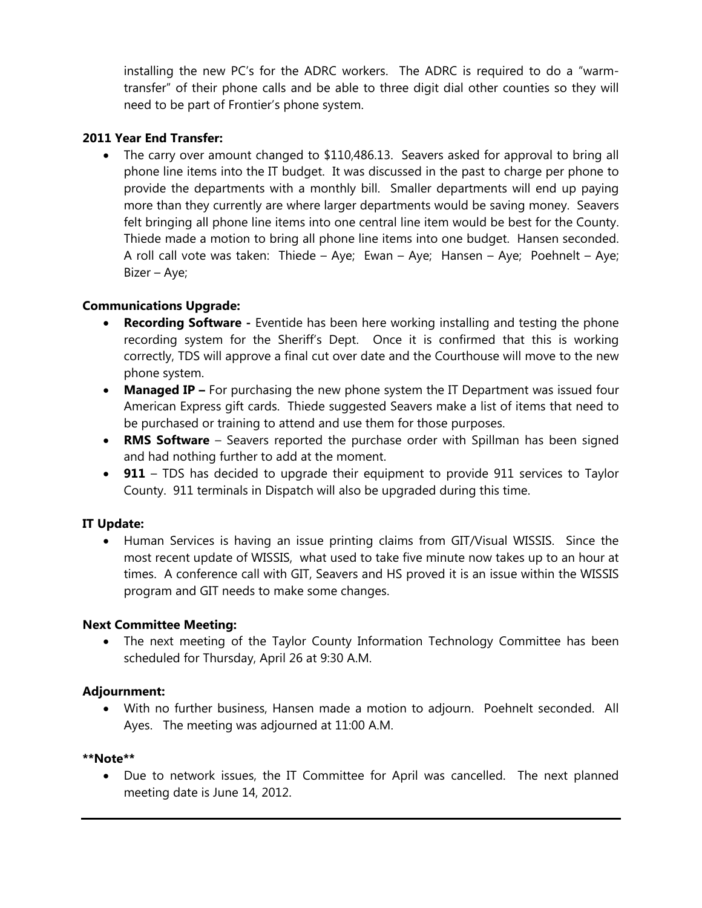installing the new PC's for the ADRC workers. The ADRC is required to do a "warmtransfer" of their phone calls and be able to three digit dial other counties so they will need to be part of Frontier's phone system.

# **2011 Year End Transfer:**

• The carry over amount changed to \$110,486.13. Seavers asked for approval to bring all phone line items into the IT budget. It was discussed in the past to charge per phone to provide the departments with a monthly bill. Smaller departments will end up paying more than they currently are where larger departments would be saving money. Seavers felt bringing all phone line items into one central line item would be best for the County. Thiede made a motion to bring all phone line items into one budget. Hansen seconded. A roll call vote was taken: Thiede – Aye; Ewan – Aye; Hansen – Aye; Poehnelt – Aye; Bizer – Aye;

# **Communications Upgrade:**

- **Recording Software** Eventide has been here working installing and testing the phone recording system for the Sheriff's Dept. Once it is confirmed that this is working correctly, TDS will approve a final cut over date and the Courthouse will move to the new phone system.
- **Managed IP –** For purchasing the new phone system the IT Department was issued four American Express gift cards. Thiede suggested Seavers make a list of items that need to be purchased or training to attend and use them for those purposes.
- **RMS Software** Seavers reported the purchase order with Spillman has been signed and had nothing further to add at the moment.
- **911** TDS has decided to upgrade their equipment to provide 911 services to Taylor County. 911 terminals in Dispatch will also be upgraded during this time.

# **IT Update:**

 Human Services is having an issue printing claims from GIT/Visual WISSIS. Since the most recent update of WISSIS, what used to take five minute now takes up to an hour at times. A conference call with GIT, Seavers and HS proved it is an issue within the WISSIS program and GIT needs to make some changes.

### **Next Committee Meeting:**

 The next meeting of the Taylor County Information Technology Committee has been scheduled for Thursday, April 26 at 9:30 A.M.

### **Adjournment:**

 With no further business, Hansen made a motion to adjourn. Poehnelt seconded. All Ayes. The meeting was adjourned at 11:00 A.M.

### **\*\*Note\*\***

 Due to network issues, the IT Committee for April was cancelled. The next planned meeting date is June 14, 2012.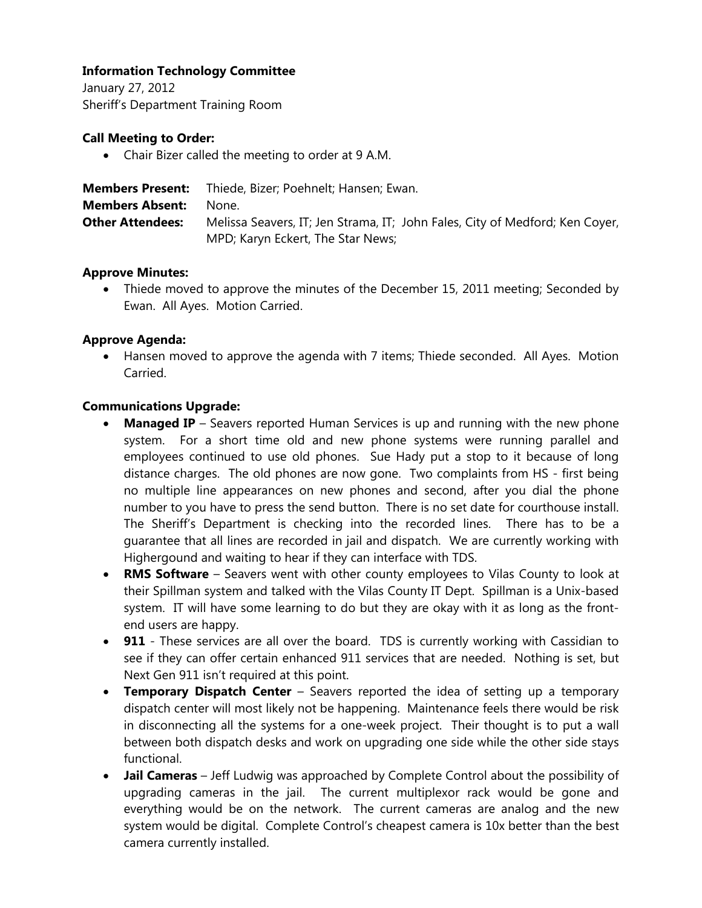# **Information Technology Committee**

January 27, 2012 Sheriff's Department Training Room

# **Call Meeting to Order:**

Chair Bizer called the meeting to order at 9 A.M.

| <b>Members Present:</b> | Thiede, Bizer; Poehnelt; Hansen; Ewan.                                       |
|-------------------------|------------------------------------------------------------------------------|
| <b>Members Absent:</b>  | None.                                                                        |
| <b>Other Attendees:</b> | Melissa Seavers, IT; Jen Strama, IT; John Fales, City of Medford; Ken Coyer, |
|                         | MPD; Karyn Eckert, The Star News;                                            |

# **Approve Minutes:**

• Thiede moved to approve the minutes of the December 15, 2011 meeting; Seconded by Ewan. All Ayes. Motion Carried.

# **Approve Agenda:**

 Hansen moved to approve the agenda with 7 items; Thiede seconded. All Ayes. Motion Carried.

# **Communications Upgrade:**

- **Managed IP** Seavers reported Human Services is up and running with the new phone system. For a short time old and new phone systems were running parallel and employees continued to use old phones. Sue Hady put a stop to it because of long distance charges. The old phones are now gone. Two complaints from HS - first being no multiple line appearances on new phones and second, after you dial the phone number to you have to press the send button. There is no set date for courthouse install. The Sheriff's Department is checking into the recorded lines. There has to be a guarantee that all lines are recorded in jail and dispatch. We are currently working with Highergound and waiting to hear if they can interface with TDS.
- **RMS Software** Seavers went with other county employees to Vilas County to look at their Spillman system and talked with the Vilas County IT Dept. Spillman is a Unix-based system. IT will have some learning to do but they are okay with it as long as the frontend users are happy.
- **911** These services are all over the board. TDS is currently working with Cassidian to see if they can offer certain enhanced 911 services that are needed. Nothing is set, but Next Gen 911 isn't required at this point.
- **Temporary Dispatch Center** Seavers reported the idea of setting up a temporary dispatch center will most likely not be happening. Maintenance feels there would be risk in disconnecting all the systems for a one-week project. Their thought is to put a wall between both dispatch desks and work on upgrading one side while the other side stays functional.
- **Jail Cameras** Jeff Ludwig was approached by Complete Control about the possibility of upgrading cameras in the jail. The current multiplexor rack would be gone and everything would be on the network. The current cameras are analog and the new system would be digital. Complete Control's cheapest camera is 10x better than the best camera currently installed.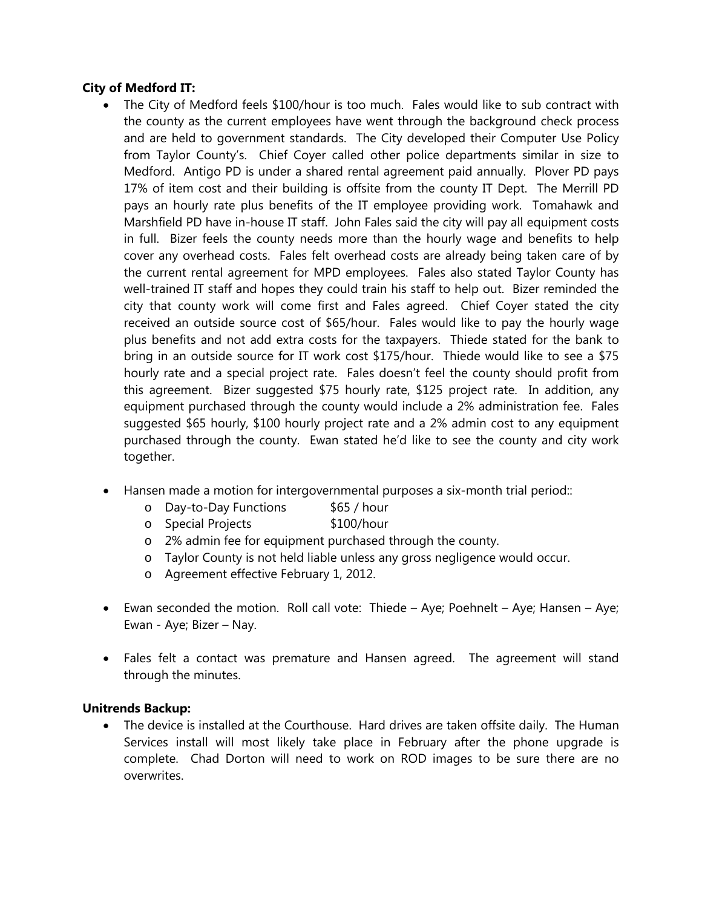# **City of Medford IT:**

- The City of Medford feels \$100/hour is too much. Fales would like to sub contract with the county as the current employees have went through the background check process and are held to government standards. The City developed their Computer Use Policy from Taylor County's. Chief Coyer called other police departments similar in size to Medford. Antigo PD is under a shared rental agreement paid annually. Plover PD pays 17% of item cost and their building is offsite from the county IT Dept. The Merrill PD pays an hourly rate plus benefits of the IT employee providing work. Tomahawk and Marshfield PD have in-house IT staff. John Fales said the city will pay all equipment costs in full. Bizer feels the county needs more than the hourly wage and benefits to help cover any overhead costs. Fales felt overhead costs are already being taken care of by the current rental agreement for MPD employees. Fales also stated Taylor County has well-trained IT staff and hopes they could train his staff to help out. Bizer reminded the city that county work will come first and Fales agreed. Chief Coyer stated the city received an outside source cost of \$65/hour. Fales would like to pay the hourly wage plus benefits and not add extra costs for the taxpayers. Thiede stated for the bank to bring in an outside source for IT work cost \$175/hour. Thiede would like to see a \$75 hourly rate and a special project rate. Fales doesn't feel the county should profit from this agreement. Bizer suggested \$75 hourly rate, \$125 project rate. In addition, any equipment purchased through the county would include a 2% administration fee. Fales suggested \$65 hourly, \$100 hourly project rate and a 2% admin cost to any equipment purchased through the county. Ewan stated he'd like to see the county and city work together.
- Hansen made a motion for intergovernmental purposes a six-month trial period::
	- o Day-to-Day Functions \$65 / hour
	- o Special Projects \$100/hour
	- o 2% admin fee for equipment purchased through the county.
	- o Taylor County is not held liable unless any gross negligence would occur.
	- o Agreement effective February 1, 2012.
- $\bullet$  Ewan seconded the motion. Roll call vote: Thiede Aye; Poehnelt Aye; Hansen Aye; Ewan - Aye; Bizer – Nay.
- Fales felt a contact was premature and Hansen agreed. The agreement will stand through the minutes.

### **Unitrends Backup:**

 The device is installed at the Courthouse. Hard drives are taken offsite daily. The Human Services install will most likely take place in February after the phone upgrade is complete. Chad Dorton will need to work on ROD images to be sure there are no overwrites.